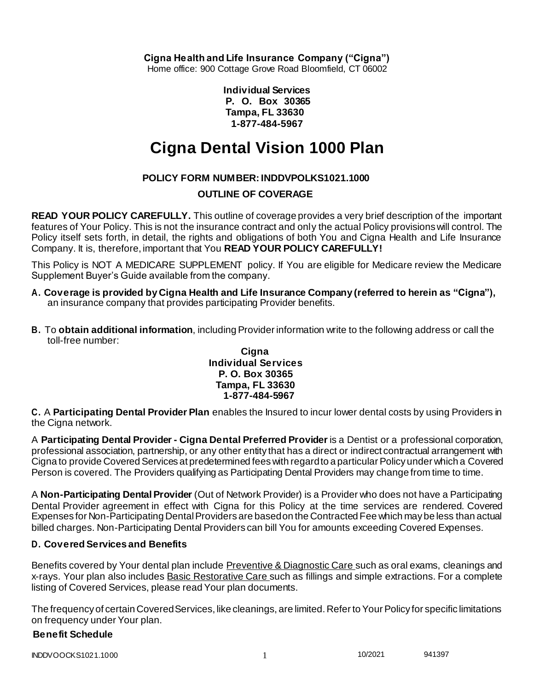**Cigna Health and Life Insurance Company ("Cigna")**

Home office: 900 Cottage Grove Road Bloomfield, CT 06002

**Individual Services P. O. Box 30365 Tampa, FL 33630 1-877-484-5967**

# **Cigna Dental Vision 1000 Plan**

# **POLICY FORM NUMBER: INDDVPOLKS1021.1000**

# **OUTLINE OF COVERAGE**

**READ YOUR POLICY CAREFULLY.** This outline of coverage provides a very brief description of the important features of Your Policy. This is not the insurance contract and only the actual Policy provisions will control. The Policy itself sets forth, in detail, the rights and obligations of both You and Cigna Health and Life Insurance Company. It is, therefore, important that You **READ YOUR POLICY CAREFULLY!**

This Policy is NOT A MEDICARE SUPPLEMENT policy. If You are eligible for Medicare review the Medicare Supplement Buyer's Guide available from the company.

- **A. Coverage is provided by Cigna Health and Life Insurance Company (referred to herein as "Cigna"),** an insurance company that provides participating Provider benefits.
- **B.** To **obtain additional information**, including Provider information write to the following address or call the toll-free number:

#### **Cigna Individual Services P. O. Box 30365 Tampa, FL 33630 1-877-484-5967**

**C.** A **Participating Dental Provider Plan** enables the Insured to incur lower dental costs by using Providers in the Cigna network.

A **Participating Dental Provider - Cigna Dental Preferred Provider** is a Dentist or a professional corporation, professional association, partnership, or any other entity that has a direct or indirect contractual arrangement with Cigna to provide Covered Services at predetermined fees with regard to a particular Policy under which a Covered Person is covered. The Providers qualifying as Participating Dental Providers may change from time to time.

A **Non-Participating Dental Provider** (Out of Network Provider) is a Provider who does not have a Participating Dental Provider agreement in effect with Cigna for this Policy at the time services are rendered. Covered Expenses for Non-Participating Dental Providers are based on the Contracted Fee which may be less than actual billed charges. Non-Participating Dental Providers can bill You for amounts exceeding Covered Expenses.

# **D. Covered Services and Benefits**

Benefits covered by Your dental plan include Preventive & Diagnostic Care such as oral exams, cleanings and x-rays. Your plan also includes Basic Restorative Care such as fillings and simple extractions. For a complete listing of Covered Services, please read Your plan documents.

The frequency of certain Covered Services, like cleanings, are limited. Refer to Your Policy for specific limitations on frequency under Your plan.

## **Benefit Schedule**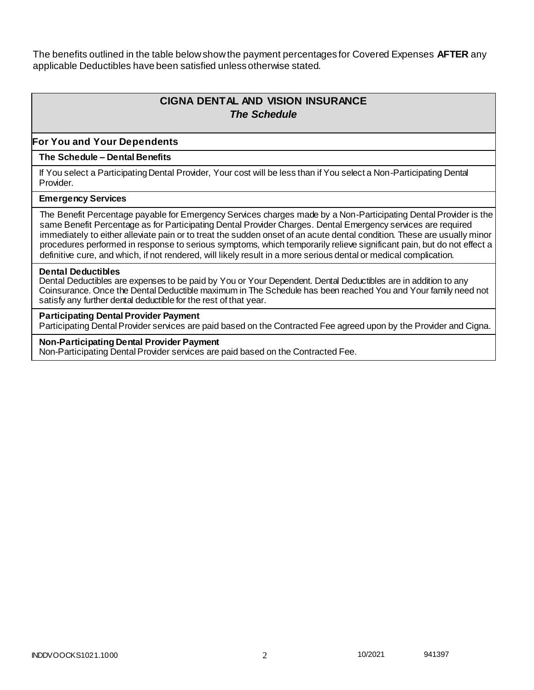The benefits outlined in the table below show the payment percentages for Covered Expenses **AFTER** any applicable Deductibles have been satisfied unless otherwise stated.

# **CIGNA DENTAL AND VISION INSURANCE** *The Schedule*

#### **For You and Your Dependents**

#### **The Schedule – Dental Benefits**

If You select a Participating Dental Provider, Your cost will be less than if You select a Non-Participating Dental Provider.

#### **Emergency Services**

The Benefit Percentage payable for Emergency Services charges made by a Non-Participating Dental Provider is the same Benefit Percentage as for Participating Dental Provider Charges. Dental Emergency services are required immediately to either alleviate pain or to treat the sudden onset of an acute dental condition. These are usually minor procedures performed in response to serious symptoms, which temporarily relieve significant pain, but do not effect a definitive cure, and which, if not rendered, will likely result in a more serious dental or medical complication.

#### **Dental Deductibles**

Dental Deductibles are expenses to be paid by You or Your Dependent. Dental Deductibles are in addition to any Coinsurance. Once the Dental Deductible maximum in The Schedule has been reached You and Your family need not satisfy any further dental deductible for the rest of that year.

#### **Participating Dental Provider Payment**

Participating Dental Provider services are paid based on the Contracted Fee agreed upon by the Provider and Cigna.

#### **Non-Participating Dental Provider Payment**

Non-Participating Dental Provider services are paid based on the Contracted Fee.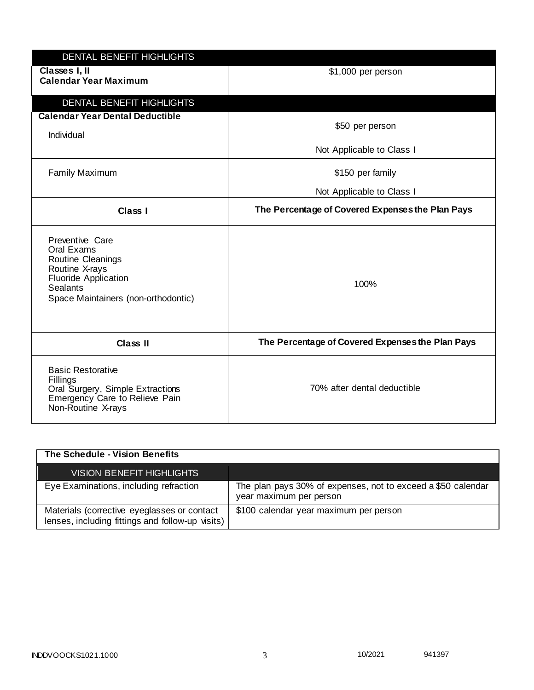| DENTAL BENEFIT HIGHLIGHTS                                                                                                                                     |                                                                                               |
|---------------------------------------------------------------------------------------------------------------------------------------------------------------|-----------------------------------------------------------------------------------------------|
| Classes I, II<br><b>Calendar Year Maximum</b>                                                                                                                 | \$1,000 per person                                                                            |
| DENTAL BENEFIT HIGHLIGHTS<br><b>Calendar Year Dental Deductible</b><br>Individual<br><b>Family Maximum</b>                                                    | \$50 per person<br>Not Applicable to Class I<br>\$150 per family<br>Not Applicable to Class I |
| Class I                                                                                                                                                       | The Percentage of Covered Expenses the Plan Pays                                              |
| Preventive Care<br>Oral Exams<br>Routine Cleanings<br>Routine X-rays<br><b>Fluoride Application</b><br><b>Sealants</b><br>Space Maintainers (non-orthodontic) | 100%                                                                                          |
| <b>Class II</b>                                                                                                                                               | The Percentage of Covered Expenses the Plan Pays                                              |
| <b>Basic Restorative</b><br>Fillings<br>Oral Surgery, Simple Extractions<br>Emergency Care to Relieve Pain<br>Non-Routine X-rays                              | 70% after dental deductible                                                                   |

| The Schedule - Vision Benefits                                                                  |                                                                                         |
|-------------------------------------------------------------------------------------------------|-----------------------------------------------------------------------------------------|
| <b>VISION BENEFIT HIGHLIGHTS</b>                                                                |                                                                                         |
| Eye Examinations, including refraction                                                          | The plan pays 30% of expenses, not to exceed a \$50 calendar<br>year maximum per person |
| Materials (corrective eyeglasses or contact<br>lenses, including fittings and follow-up visits) | \$100 calendar year maximum per person                                                  |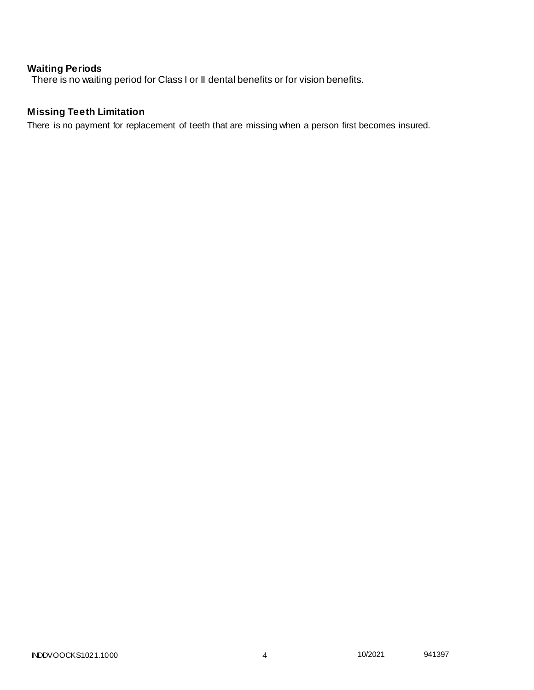# **Waiting Periods**

There is no waiting period for Class I or II dental benefits or for vision benefits.

# **Missing Teeth Limitation**

There is no payment for replacement of teeth that are missing when a person first becomes insured.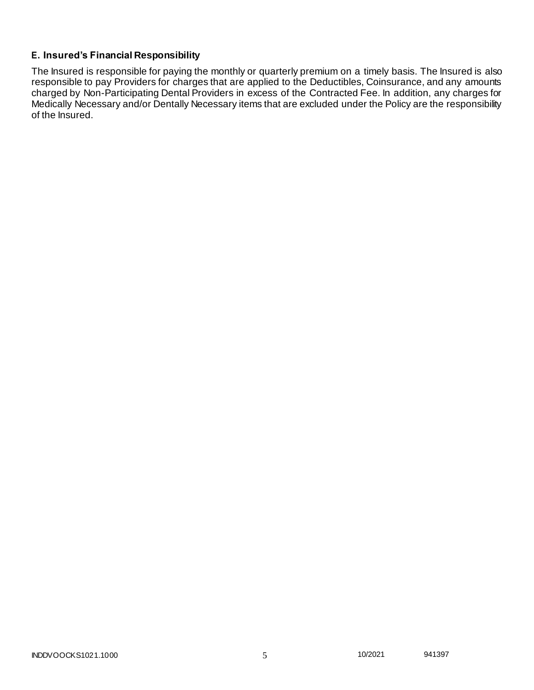# **E. Insured's Financial Responsibility**

The Insured is responsible for paying the monthly or quarterly premium on a timely basis. The Insured is also responsible to pay Providers for charges that are applied to the Deductibles, Coinsurance, and any amounts charged by Non-Participating Dental Providers in excess of the Contracted Fee. In addition, any charges for Medically Necessary and/or Dentally Necessary items that are excluded under the Policy are the responsibility of the Insured.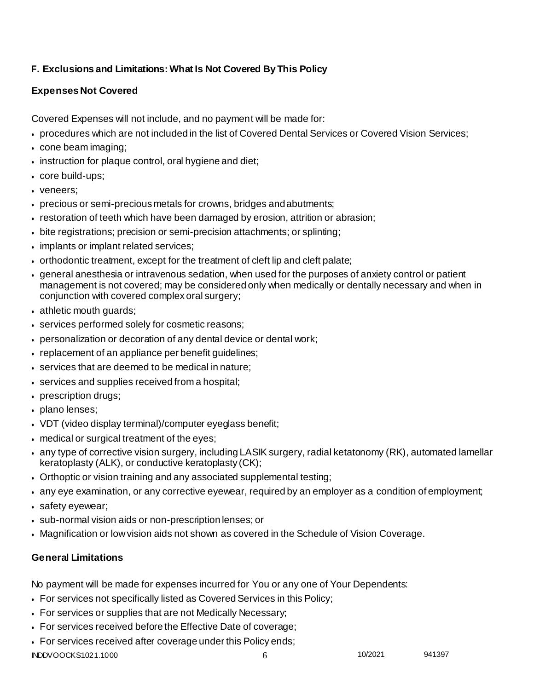# **F. Exclusions and Limitations: What Is Not Covered By This Policy**

# **Expenses Not Covered**

Covered Expenses will not include, and no payment will be made for:

- procedures which are not included in the list of Covered Dental Services or Covered Vision Services;
- cone beam imaging;
- instruction for plaque control, oral hygiene and diet;
- core build-ups;
- veneers:
- precious or semi-precious metals for crowns, bridges andabutments;
- restoration of teeth which have been damaged by erosion, attrition or abrasion;
- bite registrations; precision or semi-precision attachments; or splinting;
- implants or implant related services;
- orthodontic treatment, except for the treatment of cleft lip and cleft palate;
- general anesthesia or intravenous sedation, when used for the purposes of anxiety control or patient management is not covered; may be considered only when medically or dentally necessary and when in conjunction with covered complex oral surgery;
- athletic mouth guards;
- services performed solely for cosmetic reasons;
- personalization or decoration of any dental device or dental work;
- replacement of an appliance per benefit guidelines;
- services that are deemed to be medical in nature;
- services and supplies received from a hospital;
- prescription drugs;
- plano lenses;
- VDT (video display terminal)/computer eyeglass benefit;
- medical or surgical treatment of the eyes;
- any type of corrective vision surgery, including LASIK surgery, radial ketatonomy (RK), automated lamellar keratoplasty (ALK), or conductive keratoplasty (CK);
- Orthoptic or vision training and any associated supplemental testing;
- any eye examination, or any corrective eyewear, required by an employer as a condition of employment;
- safety eyewear;
- sub-normal vision aids or non-prescription lenses; or
- Magnification or low vision aids not shown as covered in the Schedule of Vision Coverage.

# **General Limitations**

No payment will be made for expenses incurred for You or any one of Your Dependents:

- For services not specifically listed as Covered Services in this Policy;
- For services or supplies that are not Medically Necessary;
- For services received before the Effective Date of coverage;
- For services received after coverage under this Policy ends;

INDDVOOCKS1021.1000 6 10/2021 941397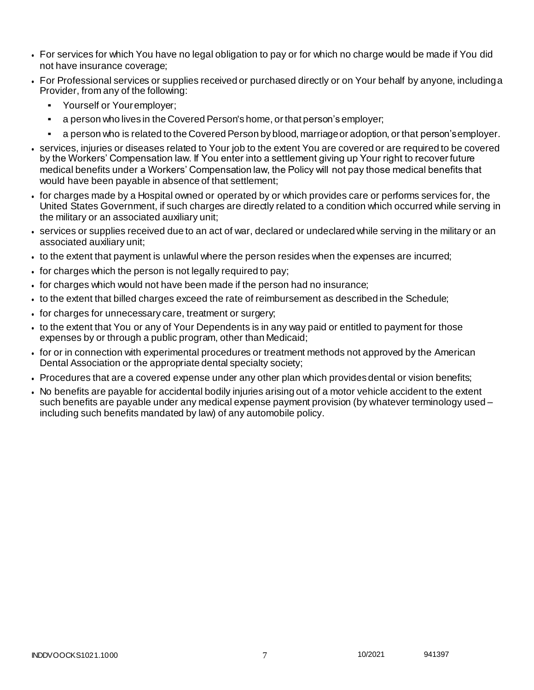- For services for which You have no legal obligation to pay or for which no charge would be made if You did not have insurance coverage;
- For Professional services or supplies received or purchased directly or on Your behalf by anyone, includinga Provider, from any of the following:
	- Yourself or Youremployer;
	- a person who lives in the Covered Person's home, or that person's employer;
	- a person who is related to the Covered Person by blood, marriage or adoption, or that person's employer.
- services, injuries or diseases related to Your job to the extent You are covered or are required to be covered by the Workers' Compensation law. If You enter into a settlement giving up Your right to recover future medical benefits under a Workers' Compensation law, the Policy will not pay those medical benefits that would have been payable in absence of that settlement;
- for charges made by a Hospital owned or operated by or which provides care or performs services for, the United States Government, if such charges are directly related to a condition which occurred while serving in the military or an associated auxiliary unit;
- services or supplies received due to an act of war, declared or undeclared while serving in the military or an associated auxiliary unit;
- to the extent that payment is unlawful where the person resides when the expenses are incurred;
- for charges which the person is not legally required to pay;
- for charges which would not have been made if the person had no insurance;
- to the extent that billed charges exceed the rate of reimbursement as described in the Schedule;
- for charges for unnecessary care, treatment or surgery;
- to the extent that You or any of Your Dependents is in any way paid or entitled to payment for those expenses by or through a public program, other than Medicaid;
- for or in connection with experimental procedures or treatment methods not approved by the American Dental Association or the appropriate dental specialty society;
- Procedures that are a covered expense under any other plan which provides dental or vision benefits;
- No benefits are payable for accidental bodily injuries arising out of a motor vehicle accident to the extent such benefits are payable under any medical expense payment provision (by whatever terminology used – including such benefits mandated by law) of any automobile policy.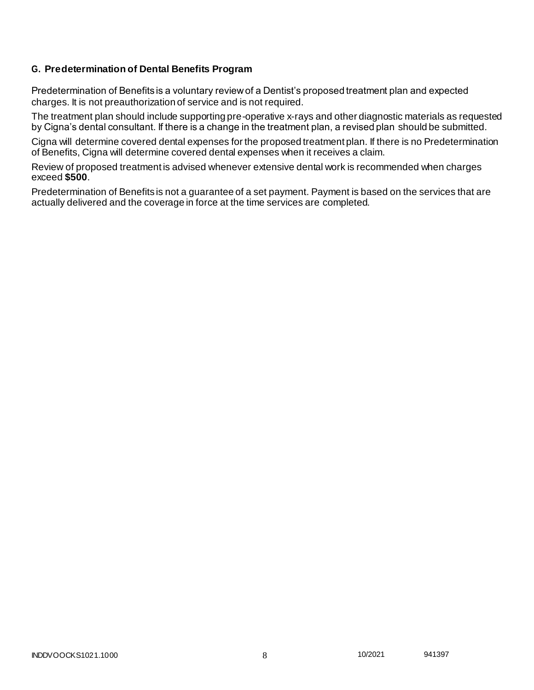## **G. Predetermination of Dental Benefits Program**

Predetermination of Benefits is a voluntary review of a Dentist's proposed treatment plan and expected charges. It is not preauthorization of service and is not required.

The treatment plan should include supporting pre-operative x-rays and other diagnostic materials as requested by Cigna's dental consultant. If there is a change in the treatment plan, a revised plan should be submitted.

Cigna will determine covered dental expenses for the proposed treatment plan. If there is no Predetermination of Benefits, Cigna will determine covered dental expenses when it receives a claim.

Review of proposed treatment is advised whenever extensive dental work is recommended when charges exceed **\$500**.

Predetermination of Benefits is not a guarantee of a set payment. Payment is based on the services that are actually delivered and the coverage in force at the time services are completed.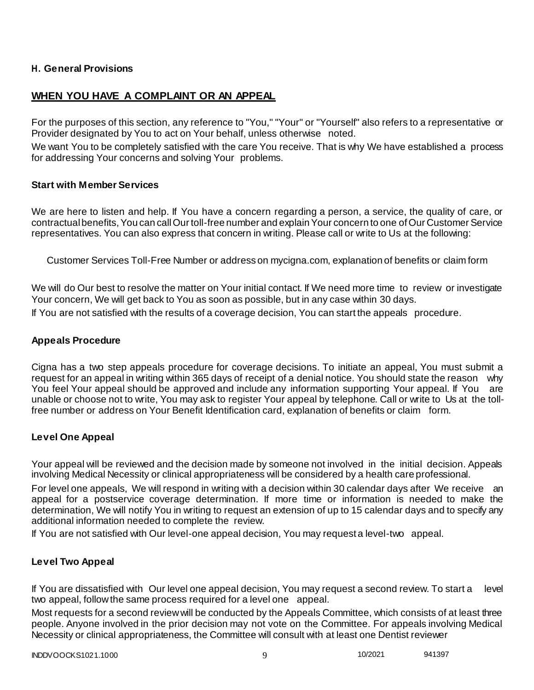# **H. General Provisions**

# **WHEN YOU HAVE A COMPLAINT OR AN APPEAL**

For the purposes of this section, any reference to "You," "Your" or "Yourself" also refers to a representative or Provider designated by You to act on Your behalf, unless otherwise noted.

We want You to be completely satisfied with the care You receive. That is why We have established a process for addressing Your concerns and solving Your problems.

## **Start with Member Services**

We are here to listen and help. If You have a concern regarding a person, a service, the quality of care, or contractual benefits, You can call Our toll-free number and explain Your concern to one of Our Customer Service representatives. You can also express that concern in writing. Please call or write to Us at the following:

Customer Services Toll-Free Number or address on mycigna.com, explanation of benefits or claim form

We will do Our best to resolve the matter on Your initial contact. If We need more time to review or investigate Your concern, We will get back to You as soon as possible, but in any case within 30 days.

If You are not satisfied with the results of a coverage decision, You can start the appeals procedure.

## **Appeals Procedure**

Cigna has a two step appeals procedure for coverage decisions. To initiate an appeal, You must submit a request for an appeal in writing within 365 days of receipt of a denial notice. You should state the reason why You feel Your appeal should be approved and include any information supporting Your appeal. If You are unable or choose not to write, You may ask to register Your appeal by telephone. Call or write to Us at the tollfree number or address on Your Benefit Identification card, explanation of benefits or claim form.

## **Level One Appeal**

Your appeal will be reviewed and the decision made by someone not involved in the initial decision. Appeals involving Medical Necessity or clinical appropriateness will be considered by a health care professional.

For level one appeals, We will respond in writing with a decision within 30 calendar days after We receive an appeal for a postservice coverage determination. If more time or information is needed to make the determination, We will notify You in writing to request an extension of up to 15 calendar days and to specify any additional information needed to complete the review.

If You are not satisfied with Our level-one appeal decision, You may request a level-two appeal.

## **Level Two Appeal**

If You are dissatisfied with Our level one appeal decision, You may request a second review. To start a level two appeal, follow the same process required for a level one appeal.

Most requests for a second review will be conducted by the Appeals Committee, which consists of at least three people. Anyone involved in the prior decision may not vote on the Committee. For appeals involving Medical Necessity or clinical appropriateness, the Committee will consult with at least one Dentist reviewer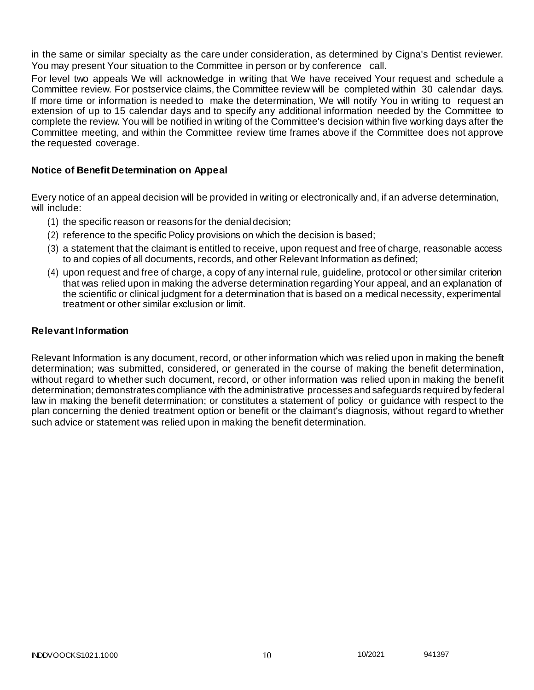in the same or similar specialty as the care under consideration, as determined by Cigna's Dentist reviewer. You may present Your situation to the Committee in person or by conference call.

For level two appeals We will acknowledge in writing that We have received Your request and schedule a Committee review. For postservice claims, the Committee review will be completed within 30 calendar days. If more time or information is needed to make the determination, We will notify You in writing to request an extension of up to 15 calendar days and to specify any additional information needed by the Committee to complete the review. You will be notified in writing of the Committee's decision within five working days after the Committee meeting, and within the Committee review time frames above if the Committee does not approve the requested coverage.

# **Notice of Benefit Determination on Appeal**

Every notice of an appeal decision will be provided in writing or electronically and, if an adverse determination, will include:

- (1) the specific reason or reasons for the denial decision;
- (2) reference to the specific Policy provisions on which the decision is based;
- (3) a statement that the claimant is entitled to receive, upon request and free of charge, reasonable access to and copies of all documents, records, and other Relevant Information as defined;
- (4) upon request and free of charge, a copy of any internal rule, guideline, protocol or other similar criterion that was relied upon in making the adverse determination regarding Your appeal, and an explanation of the scientific or clinical judgment for a determination that is based on a medical necessity, experimental treatment or other similar exclusion or limit.

## **Relevant Information**

Relevant Information is any document, record, or other information which was relied upon in making the benefit determination; was submitted, considered, or generated in the course of making the benefit determination, without regard to whether such document, record, or other information was relied upon in making the benefit determination; demonstrates compliance with the administrative processes and safeguards required by federal law in making the benefit determination; or constitutes a statement of policy or guidance with respect to the plan concerning the denied treatment option or benefit or the claimant's diagnosis, without regard to whether such advice or statement was relied upon in making the benefit determination.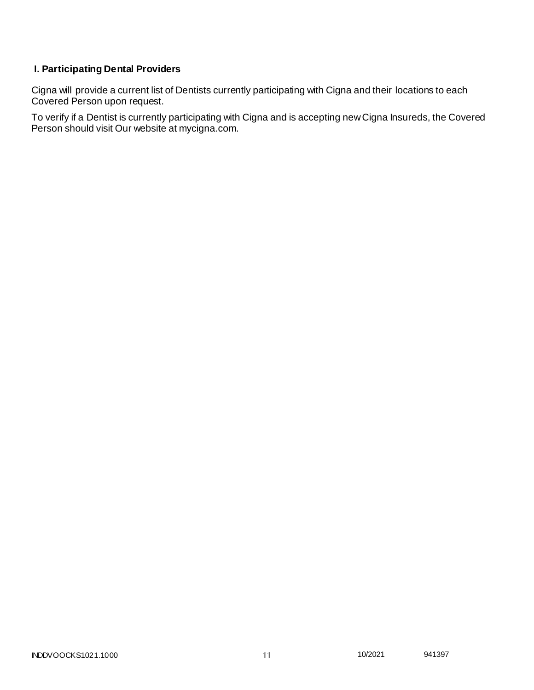# **I. Participating Dental Providers**

Cigna will provide a current list of Dentists currently participating with Cigna and their locations to each Covered Person upon request.

To verify if a Dentist is currently participating with Cigna and is accepting new Cigna Insureds, the Covered Person should visit Our website at mycigna.com.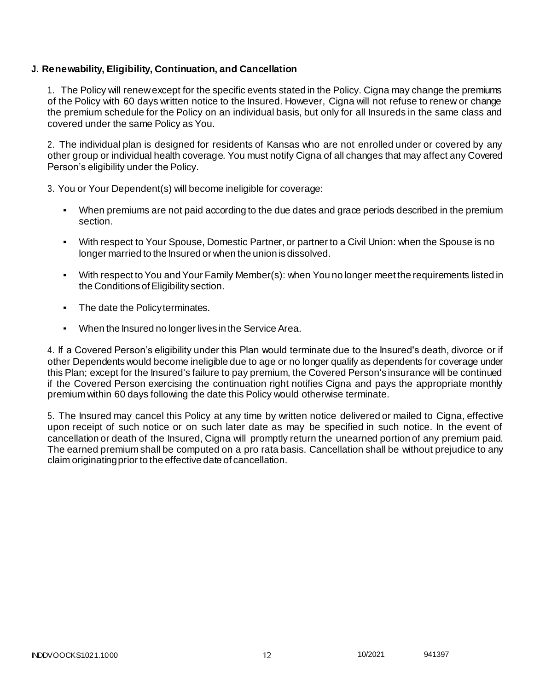## **J. Renewability, Eligibility, Continuation, and Cancellation**

1. The Policy will renew except for the specific events stated in the Policy. Cigna may change the premiums of the Policy with 60 days written notice to the Insured. However, Cigna will not refuse to renew or change the premium schedule for the Policy on an individual basis, but only for all Insureds in the same class and covered under the same Policy as You.

2. The individual plan is designed for residents of Kansas who are not enrolled under or covered by any other group or individual health coverage. You must notify Cigna of all changes that may affect any Covered Person's eligibility under the Policy.

3. You or Your Dependent(s) will become ineligible for coverage:

- When premiums are not paid according to the due dates and grace periods described in the premium section.
- With respect to Your Spouse, Domestic Partner, or partner to a Civil Union: when the Spouse is no longer married to the Insured or when the union is dissolved.
- With respect to You and Your Family Member(s): when You no longer meet the requirements listed in the Conditions of Eligibility section.
- The date the Policyterminates.
- When the Insured no longer lives in the Service Area.

4. If a Covered Person's eligibility under this Plan would terminate due to the Insured's death, divorce or if other Dependents would become ineligible due to age or no longer qualify as dependents for coverage under this Plan; except for the Insured's failure to pay premium, the Covered Person's insurance will be continued if the Covered Person exercising the continuation right notifies Cigna and pays the appropriate monthly premium within 60 days following the date this Policy would otherwise terminate.

5. The Insured may cancel this Policy at any time by written notice delivered or mailed to Cigna, effective upon receipt of such notice or on such later date as may be specified in such notice. In the event of cancellation or death of the Insured, Cigna will promptly return the unearned portion of any premium paid. The earned premium shall be computed on a pro rata basis. Cancellation shall be without prejudice to any claim originatingprior to the effective date of cancellation.